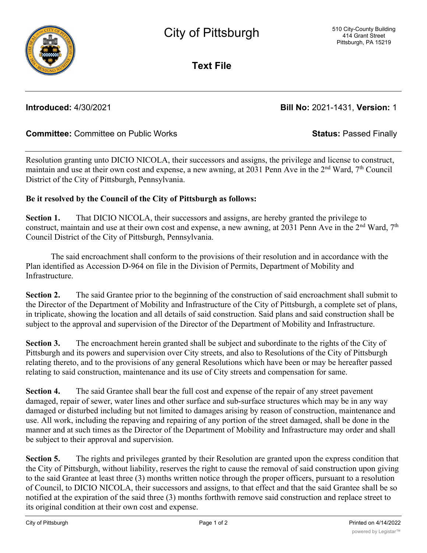

**Text File**

## **Introduced:** 4/30/2021 **Bill No:** 2021-1431, **Version:** 1

## **Committee:** Committee on Public Works **Status:** Passed Finally

Resolution granting unto DICIO NICOLA, their successors and assigns, the privilege and license to construct, maintain and use at their own cost and expense, a new awning, at 2031 Penn Ave in the  $2<sup>nd</sup>$  Ward,  $7<sup>th</sup>$  Council District of the City of Pittsburgh, Pennsylvania.

## **Be it resolved by the Council of the City of Pittsburgh as follows:**

**Section 1.** That DICIO NICOLA, their successors and assigns, are hereby granted the privilege to construct, maintain and use at their own cost and expense, a new awning, at 2031 Penn Ave in the 2<sup>nd</sup> Ward, 7<sup>th</sup> Council District of the City of Pittsburgh, Pennsylvania.

The said encroachment shall conform to the provisions of their resolution and in accordance with the Plan identified as Accession D-964 on file in the Division of Permits, Department of Mobility and Infrastructure.

**Section 2.** The said Grantee prior to the beginning of the construction of said encroachment shall submit to the Director of the Department of Mobility and Infrastructure of the City of Pittsburgh, a complete set of plans, in triplicate, showing the location and all details of said construction. Said plans and said construction shall be subject to the approval and supervision of the Director of the Department of Mobility and Infrastructure.

**Section 3.** The encroachment herein granted shall be subject and subordinate to the rights of the City of Pittsburgh and its powers and supervision over City streets, and also to Resolutions of the City of Pittsburgh relating thereto, and to the provisions of any general Resolutions which have been or may be hereafter passed relating to said construction, maintenance and its use of City streets and compensation for same.

**Section 4.** The said Grantee shall bear the full cost and expense of the repair of any street pavement damaged, repair of sewer, water lines and other surface and sub-surface structures which may be in any way damaged or disturbed including but not limited to damages arising by reason of construction, maintenance and use. All work, including the repaving and repairing of any portion of the street damaged, shall be done in the manner and at such times as the Director of the Department of Mobility and Infrastructure may order and shall be subject to their approval and supervision.

**Section 5.** The rights and privileges granted by their Resolution are granted upon the express condition that the City of Pittsburgh, without liability, reserves the right to cause the removal of said construction upon giving to the said Grantee at least three (3) months written notice through the proper officers, pursuant to a resolution of Council, to DICIO NICOLA, their successors and assigns, to that effect and that the said Grantee shall be so notified at the expiration of the said three (3) months forthwith remove said construction and replace street to its original condition at their own cost and expense.